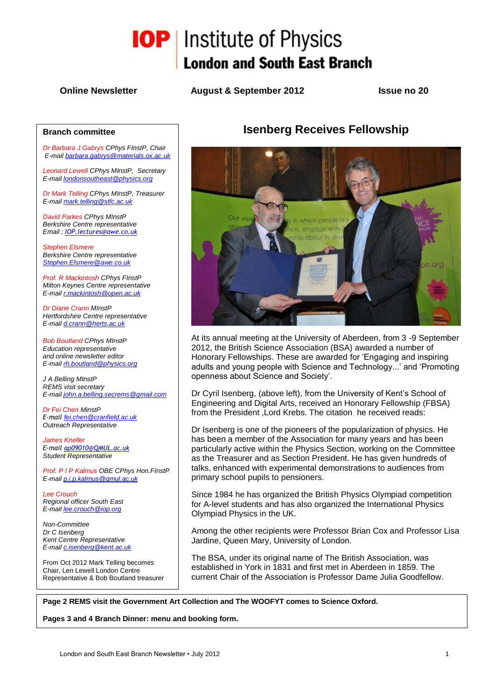

**Online Newsletter August & September 2012 Issue no 20**

#### **Branch committee**

*Dr Barbara J Gabrys CPhys FInstP, Chair E-mail [barbara.gabrys@materials.ox.ac.uk](mailto:barbara.gabrys@materials.ox.ac.uk)*

*Leonard Lewell CPhys MInstP, Secretary E-mai[l londonsoutheast@physics.org](mailto:londonsoutheast@physics.org)*

*Dr Mark Telling CPhys MInstP, Treasurer E-mai[l mark.telling@stfc.ac.uk](mailto:mark.telling@stfc.ac.uk)*

*David Parkes CPhys MInstP Berkshire Centre representative Email ; [IOP.lectures@awe.co.uk](mailto:IOP.lectures@awe.co.uk)*

*Stephen Elsmere Berkshire Centre representative [Stephen.Elsmere@awe.co.uk](mailto:Stephen.Elsmere@awe.co.uk)*

*Prof. R Mackintosh CPhys FInstP Milton Keynes Centre representative E-mai[l r.mackintosh@open.ac.uk](mailto:r.mackintosh@open.ac.uk)*

*Dr Diane Crann MInstP Hertfordshire Centre representative E-mai[l d.crann@herts.ac.uk](mailto:d.crann@herts.ac.uk)*

*Bob Boutland CPhys MInstP Education representative and online newsletter editor E-mai[l rh.boutland@physics.org](mailto:rh.boutland@physics.org)*

*J A Belling MInstP REMS visit secretary E-mai[l john.a.belling.secrems@gmail.com](mailto:john.a.belling.secrems@gmail.com)*

*Dr Fei Chen MinstP E-mail [fei.chen@cranfield.ac.uk](mailto:fei.chen@cranfield.ac.uk) Outreach Representative*

*James Kneller E-mail [ap09010@QMUL.ac.uk](mailto:ap09010@QMUL.ac.uk) Student Representative*

*Prof. P I P Kalmus OBE CPhys Hon.FInstP E-mai[l p.i.p.kalmus@qmul.ac.uk](mailto:p.i.p.kalmus@qmul.ac.uk)*

*Lee Crouch Regional officer South East E-mai[l lee.crouch@iop.org](mailto:lee.crouch@iop.org)*

*Non-Committee Dr C Isenberg Kent Centre Representative E-mai[l c.isenberg@kent.ac.uk](mailto:c.isenberg@kent.ac.uk)*

From Oct 2012 Mark Telling becomes Chair, Len Lewell London Centre Representative & Bob Boutland treasurer

# **Isenberg Receives Fellowship**



At its annual meeting at the University of Aberdeen, from 3 -9 September 2012, the British Science Association (BSA) awarded a number of Honorary Fellowships. These are awarded for 'Engaging and inspiring adults and young people with Science and Technology...' and 'Promoting openness about Science and Society'.

Dr Cyril Isenberg, (above left), from the University of Kent's School of Engineering and Digital Arts, received an Honorary Fellowship (FBSA) from the President ,Lord Krebs. The citation he received reads:

Dr Isenberg is one of the pioneers of the popularization of physics. He has been a member of the Association for many years and has been particularly active within the Physics Section, working on the Committee as the Treasurer and as Section President. He has given hundreds of talks, enhanced with experimental demonstrations to audiences from primary school pupils to pensioners.

Since 1984 he has organized the British Physics Olympiad competition for A-level students and has also organized the International Physics Olympiad Physics in the UK.

Among the other recipients were Professor Brian Cox and Professor Lisa Jardine, Queen Mary, University of London.

The BSA, under its original name of The British Association, was established in York in 1831 and first met in Aberdeen in 1859. The current Chair of the Association is Professor Dame Julia Goodfellow.

**Page 2 REMS visit the Government Art Collection and The WOOFYT comes to Science Oxford.** 

**Pages 3 and 4 Branch Dinner: menu and booking form.**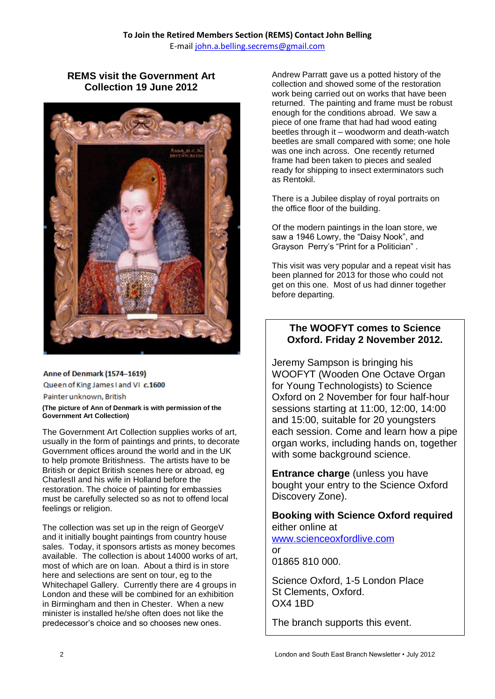# **REMS visit the Government Art Collection 19 June 2012**



#### Anne of Denmark (1574-1619)

Queen of King James I and VI c.1600

Painter unknown, British

#### **(The picture of Ann of Denmark is with permission of the Government Art Collection)**

The Government Art Collection supplies works of art, usually in the form of paintings and prints, to decorate Government offices around the world and in the UK to help promote Britishness. The artists have to be British or depict British scenes here or abroad, eg CharlesII and his wife in Holland before the restoration. The choice of painting for embassies must be carefully selected so as not to offend local feelings or religion.

The collection was set up in the reign of GeorgeV and it initially bought paintings from country house sales. Today, it sponsors artists as money becomes available. The collection is about 14000 works of art, most of which are on loan. About a third is in store here and selections are sent on tour, eg to the Whitechapel Gallery. Currently there are 4 groups in London and these will be combined for an exhibition in Birmingham and then in Chester. When a new minister is installed he/she often does not like the predecessor's choice and so chooses new ones.

Andrew Parratt gave us a potted history of the collection and showed some of the restoration work being carried out on works that have been returned. The painting and frame must be robust enough for the conditions abroad. We saw a piece of one frame that had had wood eating beetles through it – woodworm and death-watch beetles are small compared with some; one hole was one inch across. One recently returned frame had been taken to pieces and sealed ready for shipping to insect exterminators such as Rentokil.

There is a Jubilee display of royal portraits on the office floor of the building.

Of the modern paintings in the loan store, we saw a 1946 Lowry, the "Daisy Nook", and Grayson Perry's "Print for a Politician" .

This visit was very popular and a repeat visit has been planned for 2013 for those who could not get on this one. Most of us had dinner together before departing.

## **The WOOFYT comes to Science Oxford. Friday 2 November 2012.**

Jeremy Sampson is bringing his WOOFYT (Wooden One Octave Organ for Young Technologists) to Science Oxford on 2 November for four half-hour sessions starting at 11:00, 12:00, 14:00 and 15:00, suitable for 20 youngsters each session. Come and learn how a pipe organ works, including hands on, together with some background science.

**Entrance charge** (unless you have bought your entry to the Science Oxford Discovery Zone).

### **Booking with Science Oxford required** either online at

[www.scienceoxfordlive.com](http://www.scienceoxfordlive.com/) or

01865 810 000.

Science Oxford, 1-5 London Place St Clements, Oxford. OX4 1BD

The branch supports this event.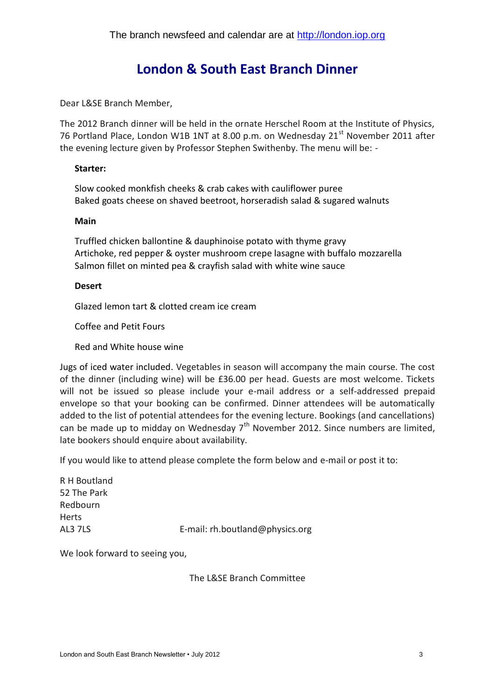# **London & South East Branch Dinner**

Dear L&SE Branch Member,

The 2012 Branch dinner will be held in the ornate Herschel Room at the Institute of Physics, 76 Portland Place, London W1B 1NT at 8.00 p.m. on Wednesday 21<sup>st</sup> November 2011 after the evening lecture given by Professor Stephen Swithenby. The menu will be: -

### **Starter:**

Slow cooked monkfish cheeks & crab cakes with cauliflower puree Baked goats cheese on shaved beetroot, horseradish salad & sugared walnuts

#### **Main**

Truffled chicken ballontine & dauphinoise potato with thyme gravy Artichoke, red pepper & oyster mushroom crepe lasagne with buffalo mozzarella Salmon fillet on minted pea & crayfish salad with white wine sauce

### **Desert**

Glazed lemon tart & clotted cream ice cream

Coffee and Petit Fours

Red and White house wine

Jugs of iced water included. Vegetables in season will accompany the main course. The cost of the dinner (including wine) will be £36.00 per head. Guests are most welcome. Tickets will not be issued so please include your e-mail address or a self-addressed prepaid envelope so that your booking can be confirmed. Dinner attendees will be automatically added to the list of potential attendees for the evening lecture. Bookings (and cancellations) can be made up to midday on Wednesday  $7<sup>th</sup>$  November 2012. Since numbers are limited, late bookers should enquire about availability.

If you would like to attend please complete the form below and e-mail or post it to:

R H Boutland 52 The Park Redbourn Herts AL3 7LS E-mail: rh.boutland@physics.org

We look forward to seeing you,

The L&SE Branch Committee